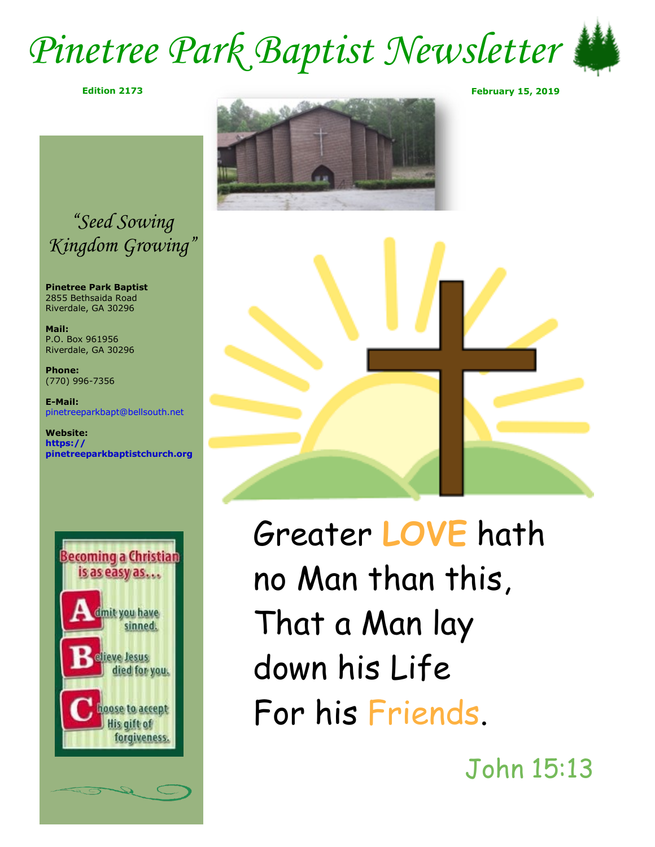### *Pinetree Park Baptist Newsletter*





**Pinetree Park Baptist** 2855 Bethsaida Road Riverdale, GA 30296

**Mail:** P.O. Box 961956 Riverdale, GA 30296

**Phone:** (770) 996-7356

**E-Mail:** pinetreeparkbapt@bellsouth.net

**Website: https:// pinetreeparkbaptistchurch.org** 









Greater **LOVE** hath no Man than this, That a Man lay down his Life For his Friends.

John 15:13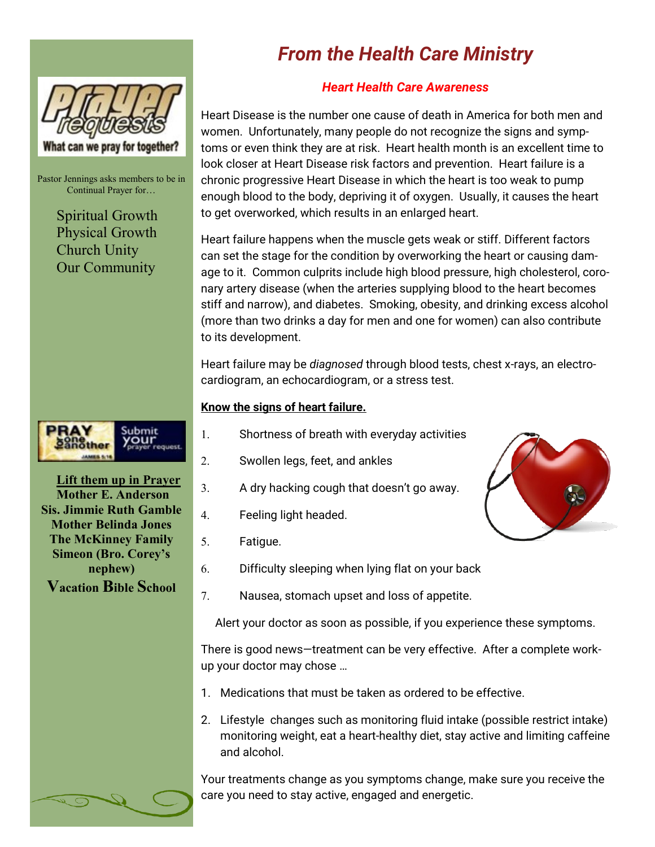

Pastor Jennings asks members to be in Continual Prayer for…

> Spiritual Growth Physical Growth Church Unity Our Community



**Lift them up in Prayer Mother E. Anderson Sis. Jimmie Ruth Gamble Mother Belinda Jones The McKinney Family Simeon (Bro. Corey's nephew) Vacation Bible School**

### *From the Health Care Ministry*

### *Heart Health Care Awareness*

Heart Disease is the number one cause of death in America for both men and women. Unfortunately, many people do not recognize the signs and symptoms or even think they are at risk. Heart health month is an excellent time to look closer at Heart Disease risk factors and prevention. Heart failure is a chronic progressive Heart Disease in which the heart is too weak to pump enough blood to the body, depriving it of oxygen. Usually, it causes the heart to get overworked, which results in an enlarged heart.

Heart failure happens when the muscle gets weak or stiff. Different factors can set the stage for the condition by overworking the heart or causing damage to it. Common culprits include high blood pressure, high cholesterol, coronary artery disease (when the arteries supplying blood to the heart becomes stiff and narrow), and diabetes. Smoking, obesity, and drinking excess alcohol (more than two drinks a day for men and one for women) can also contribute to its development.

Heart failure may be *diagnosed* through blood tests, chest x-rays, an electrocardiogram, an echocardiogram, or a stress test.

#### **Know the signs of heart failure.**

- 1. Shortness of breath with everyday activities
- 2. Swollen legs, feet, and ankles
- 3. A dry hacking cough that doesn't go away.
- 4. Feeling light headed.
- 5. Fatigue.
- 6. Difficulty sleeping when lying flat on your back
- 7. Nausea, stomach upset and loss of appetite.

Alert your doctor as soon as possible, if you experience these symptoms.

There is good news—treatment can be very effective. After a complete workup your doctor may chose …

- 1. Medications that must be taken as ordered to be effective.
- 2. Lifestyle changes such as monitoring fluid intake (possible restrict intake) monitoring weight, eat a heart-healthy diet, stay active and limiting caffeine and alcohol.

Your treatments change as you symptoms change, make sure you receive the care you need to stay active, engaged and energetic.

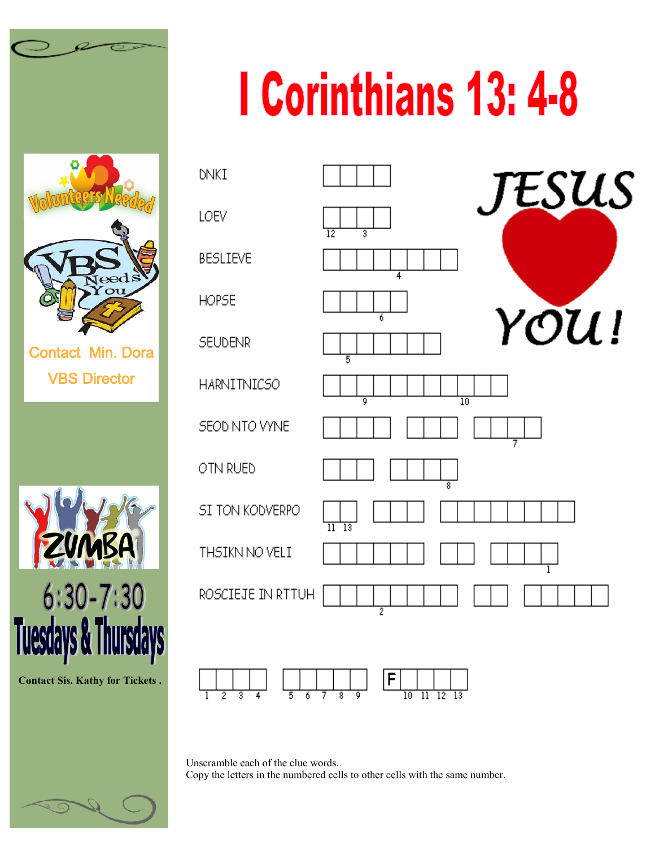

VBS Director



**Contact Sis. Kathy for Tickets .**

## **I Corinthians 13: 4-8**





Unscramble each of the clue words. Copy the letters in the numbered cells to other cells with the same number.